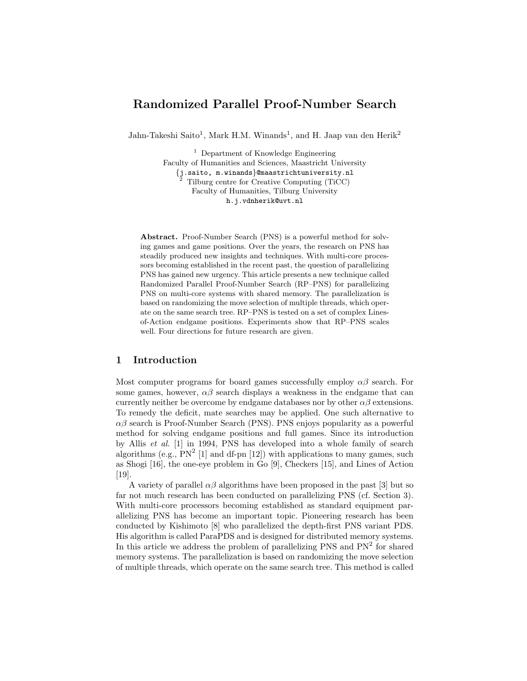# Randomized Parallel Proof-Number Search

Jahn-Takeshi Saito<sup>1</sup>, Mark H.M. Winands<sup>1</sup>, and H. Jaap van den Herik<sup>2</sup>

<sup>1</sup> Department of Knowledge Engineering Faculty of Humanities and Sciences, Maastricht University {j.saito, m.winands}@maastrichtuniversity.nl <sup>2</sup> Tilburg centre for Creative Computing (TiCC) Faculty of Humanities, Tilburg University h.j.vdnherik@uvt.nl

Abstract. Proof-Number Search (PNS) is a powerful method for solving games and game positions. Over the years, the research on PNS has steadily produced new insights and techniques. With multi-core processors becoming established in the recent past, the question of parallelizing PNS has gained new urgency. This article presents a new technique called Randomized Parallel Proof-Number Search (RP–PNS) for parallelizing PNS on multi-core systems with shared memory. The parallelization is based on randomizing the move selection of multiple threads, which operate on the same search tree. RP–PNS is tested on a set of complex Linesof-Action endgame positions. Experiments show that RP–PNS scales well. Four directions for future research are given.

# 1 Introduction

Most computer programs for board games successfully employ  $\alpha\beta$  search. For some games, however,  $\alpha\beta$  search displays a weakness in the endgame that can currently neither be overcome by endgame databases nor by other  $\alpha\beta$  extensions. To remedy the deficit, mate searches may be applied. One such alternative to  $\alpha\beta$  search is Proof-Number Search (PNS). PNS enjoys popularity as a powerful method for solving endgame positions and full games. Since its introduction by Allis et al. [1] in 1994, PNS has developed into a whole family of search algorithms (e.g.,  $PN^2$  [1] and df-pn [12]) with applications to many games, such as Shogi [16], the one-eye problem in Go [9], Checkers [15], and Lines of Action [19].

A variety of parallel  $\alpha\beta$  algorithms have been proposed in the past [3] but so far not much research has been conducted on parallelizing PNS (cf. Section 3). With multi-core processors becoming established as standard equipment parallelizing PNS has become an important topic. Pioneering research has been conducted by Kishimoto [8] who parallelized the depth-first PNS variant PDS. His algorithm is called ParaPDS and is designed for distributed memory systems. In this article we address the problem of parallelizing PNS and  $PN<sup>2</sup>$  for shared memory systems. The parallelization is based on randomizing the move selection of multiple threads, which operate on the same search tree. This method is called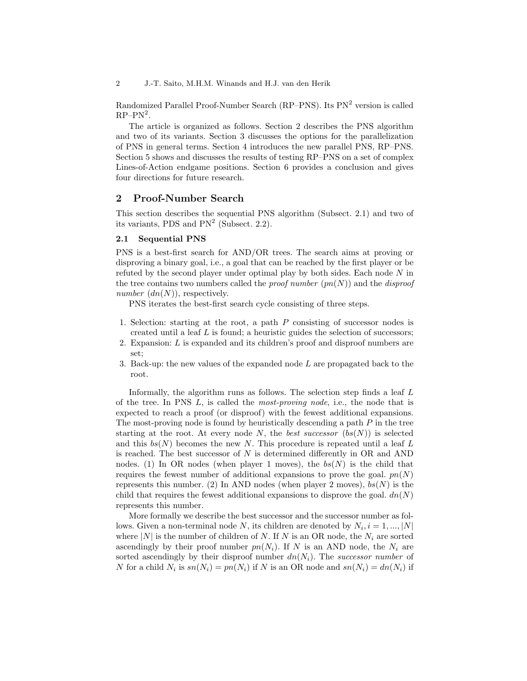2 J.-T. Saito, M.H.M. Winands and H.J. van den Herik

Randomized Parallel Proof-Number Search (RP–PNS). Its PN<sup>2</sup> version is called  $RP-PN^2$ .

The article is organized as follows. Section 2 describes the PNS algorithm and two of its variants. Section 3 discusses the options for the parallelization of PNS in general terms. Section 4 introduces the new parallel PNS, RP–PNS. Section 5 shows and discusses the results of testing RP–PNS on a set of complex Lines-of-Action endgame positions. Section 6 provides a conclusion and gives four directions for future research.

# 2 Proof-Number Search

This section describes the sequential PNS algorithm (Subsect. 2.1) and two of its variants, PDS and  $PN<sup>2</sup>$  (Subsect. 2.2).

## 2.1 Sequential PNS

PNS is a best-first search for AND/OR trees. The search aims at proving or disproving a binary goal, i.e., a goal that can be reached by the first player or be refuted by the second player under optimal play by both sides. Each node N in the tree contains two numbers called the *proof number*  $(pn(N))$  and the *disproof* number  $(dn(N))$ , respectively.

PNS iterates the best-first search cycle consisting of three steps.

- 1. Selection: starting at the root, a path P consisting of successor nodes is created until a leaf  $L$  is found; a heuristic guides the selection of successors;
- 2. Expansion: L is expanded and its children's proof and disproof numbers are set;
- 3. Back-up: the new values of the expanded node  $L$  are propagated back to the root.

Informally, the algorithm runs as follows. The selection step finds a leaf L of the tree. In PNS  $L$ , is called the *most-proving node*, i.e., the node that is expected to reach a proof (or disproof) with the fewest additional expansions. The most-proving node is found by heuristically descending a path  $P$  in the tree starting at the root. At every node N, the best successor  $(bs(N))$  is selected and this  $bs(N)$  becomes the new N. This procedure is repeated until a leaf L is reached. The best successor of  $N$  is determined differently in  $OR$  and  $AND$ nodes. (1) In OR nodes (when player 1 moves), the  $bs(N)$  is the child that requires the fewest number of additional expansions to prove the goal.  $pn(N)$ represents this number. (2) In AND nodes (when player 2 moves),  $bs(N)$  is the child that requires the fewest additional expansions to disprove the goal.  $dn(N)$ represents this number.

More formally we describe the best successor and the successor number as follows. Given a non-terminal node N, its children are denoted by  $N_i$ ,  $i = 1, ..., |N|$ where  $|N|$  is the number of children of N. If N is an OR node, the  $N_i$  are sorted ascendingly by their proof number  $pn(N_i)$ . If N is an AND node, the  $N_i$  are sorted ascendingly by their disproof number  $dn(N<sub>i</sub>)$ . The successor number of N for a child  $N_i$  is  $sn(N_i) = pn(N_i)$  if N is an OR node and  $sn(N_i) = dn(N_i)$  if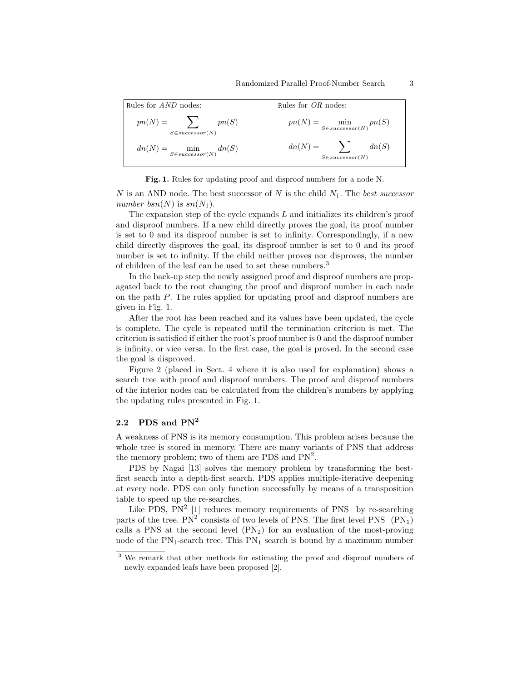| Rules for <i>AND</i> nodes:                        | Rules for $OR$ nodes:                              |  |  |
|----------------------------------------------------|----------------------------------------------------|--|--|
| $pn(N) =$ $\qquad$<br>pn(S)<br>$S\in successor(N)$ | $pn(N) = \min_{S \in successor(N)} pn(S)$          |  |  |
| $dn(N) = \min_{S \in successor(N)} dn(S)$          | $dn(N) =$ $\qquad$<br>dn(S)<br>$S\in successor(N)$ |  |  |

Fig. 1. Rules for updating proof and disproof numbers for a node N.

N is an AND node. The best successor of N is the child  $N_1$ . The best successor number bsn(N) is  $sn(N_1)$ .

The expansion step of the cycle expands  $L$  and initializes its children's proof and disproof numbers. If a new child directly proves the goal, its proof number is set to 0 and its disproof number is set to infinity. Correspondingly, if a new child directly disproves the goal, its disproof number is set to 0 and its proof number is set to infinity. If the child neither proves nor disproves, the number of children of the leaf can be used to set these numbers.<sup>3</sup>

In the back-up step the newly assigned proof and disproof numbers are propagated back to the root changing the proof and disproof number in each node on the path P. The rules applied for updating proof and disproof numbers are given in Fig. 1.

After the root has been reached and its values have been updated, the cycle is complete. The cycle is repeated until the termination criterion is met. The criterion is satisfied if either the root's proof number is 0 and the disproof number is infinity, or vice versa. In the first case, the goal is proved. In the second case the goal is disproved.

Figure 2 (placed in Sect. 4 where it is also used for explanation) shows a search tree with proof and disproof numbers. The proof and disproof numbers of the interior nodes can be calculated from the children's numbers by applying the updating rules presented in Fig. 1.

## 2.2 PDS and  $PN^2$

A weakness of PNS is its memory consumption. This problem arises because the whole tree is stored in memory. There are many variants of PNS that address the memory problem; two of them are PDS and  $PN^2$ .

PDS by Nagai [13] solves the memory problem by transforming the bestfirst search into a depth-first search. PDS applies multiple-iterative deepening at every node. PDS can only function successfully by means of a transposition table to speed up the re-searches.

Like PDS,  $PN^2$  [1] reduces memory requirements of PNS by re-searching parts of the tree.  $PN^2$  consists of two levels of PNS. The first level PNS  $(PN_1)$ calls a PNS at the second level  $(PN_2)$  for an evaluation of the most-proving node of the  $PN_1$ -search tree. This  $PN_1$  search is bound by a maximum number

<sup>&</sup>lt;sup>3</sup> We remark that other methods for estimating the proof and disproof numbers of newly expanded leafs have been proposed [2].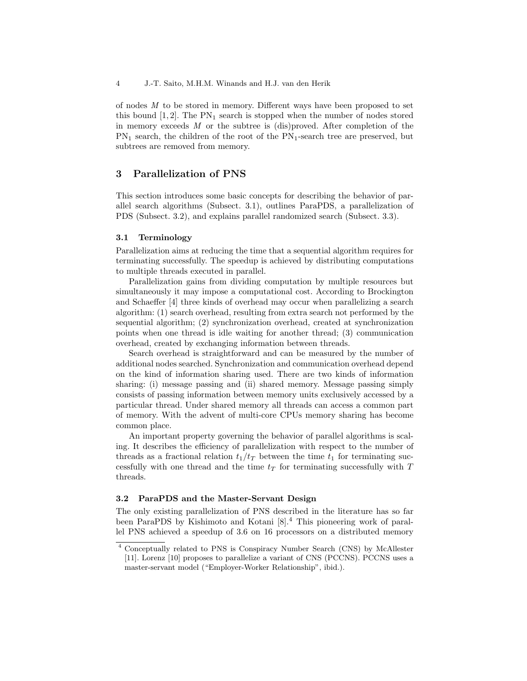of nodes M to be stored in memory. Different ways have been proposed to set this bound  $[1, 2]$ . The PN<sub>1</sub> search is stopped when the number of nodes stored in memory exceeds M or the subtree is (dis)proved. After completion of the  $PN_1$  search, the children of the root of the  $PN_1$ -search tree are preserved, but subtrees are removed from memory.

# 3 Parallelization of PNS

This section introduces some basic concepts for describing the behavior of parallel search algorithms (Subsect. 3.1), outlines ParaPDS, a parallelization of PDS (Subsect. 3.2), and explains parallel randomized search (Subsect. 3.3).

#### 3.1 Terminology

Parallelization aims at reducing the time that a sequential algorithm requires for terminating successfully. The speedup is achieved by distributing computations to multiple threads executed in parallel.

Parallelization gains from dividing computation by multiple resources but simultaneously it may impose a computational cost. According to Brockington and Schaeffer [4] three kinds of overhead may occur when parallelizing a search algorithm: (1) search overhead, resulting from extra search not performed by the sequential algorithm; (2) synchronization overhead, created at synchronization points when one thread is idle waiting for another thread; (3) communication overhead, created by exchanging information between threads.

Search overhead is straightforward and can be measured by the number of additional nodes searched. Synchronization and communication overhead depend on the kind of information sharing used. There are two kinds of information sharing: (i) message passing and (ii) shared memory. Message passing simply consists of passing information between memory units exclusively accessed by a particular thread. Under shared memory all threads can access a common part of memory. With the advent of multi-core CPUs memory sharing has become common place.

An important property governing the behavior of parallel algorithms is scaling. It describes the efficiency of parallelization with respect to the number of threads as a fractional relation  $t_1/t_T$  between the time  $t_1$  for terminating successfully with one thread and the time  $t_T$  for terminating successfully with  $T$ threads.

#### 3.2 ParaPDS and the Master-Servant Design

The only existing parallelization of PNS described in the literature has so far been ParaPDS by Kishimoto and Kotani [8].<sup>4</sup> This pioneering work of parallel PNS achieved a speedup of 3.6 on 16 processors on a distributed memory

<sup>4</sup> Conceptually related to PNS is Conspiracy Number Search (CNS) by McAllester [11]. Lorenz [10] proposes to parallelize a variant of CNS (PCCNS). PCCNS uses a master-servant model ("Employer-Worker Relationship", ibid.).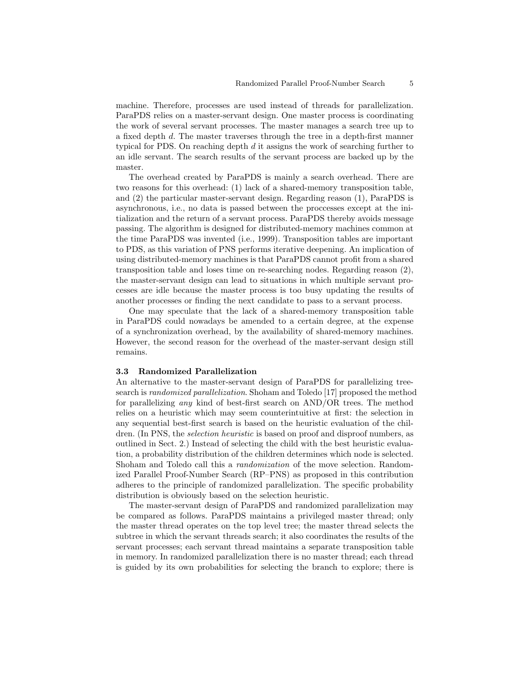machine. Therefore, processes are used instead of threads for parallelization. ParaPDS relies on a master-servant design. One master process is coordinating the work of several servant processes. The master manages a search tree up to a fixed depth d. The master traverses through the tree in a depth-first manner typical for PDS. On reaching depth d it assigns the work of searching further to an idle servant. The search results of the servant process are backed up by the master.

The overhead created by ParaPDS is mainly a search overhead. There are two reasons for this overhead: (1) lack of a shared-memory transposition table, and (2) the particular master-servant design. Regarding reason (1), ParaPDS is asynchronous, i.e., no data is passed between the proccesses except at the initialization and the return of a servant process. ParaPDS thereby avoids message passing. The algorithm is designed for distributed-memory machines common at the time ParaPDS was invented (i.e., 1999). Transposition tables are important to PDS, as this variation of PNS performs iterative deepening. An implication of using distributed-memory machines is that ParaPDS cannot profit from a shared transposition table and loses time on re-searching nodes. Regarding reason (2), the master-servant design can lead to situations in which multiple servant processes are idle because the master process is too busy updating the results of another processes or finding the next candidate to pass to a servant process.

One may speculate that the lack of a shared-memory transposition table in ParaPDS could nowadays be amended to a certain degree, at the expense of a synchronization overhead, by the availability of shared-memory machines. However, the second reason for the overhead of the master-servant design still remains.

#### 3.3 Randomized Parallelization

An alternative to the master-servant design of ParaPDS for parallelizing treesearch is randomized parallelization. Shoham and Toledo [17] proposed the method for parallelizing any kind of best-first search on AND/OR trees. The method relies on a heuristic which may seem counterintuitive at first: the selection in any sequential best-first search is based on the heuristic evaluation of the children. (In PNS, the *selection heuristic* is based on proof and disproof numbers, as outlined in Sect. 2.) Instead of selecting the child with the best heuristic evaluation, a probability distribution of the children determines which node is selected. Shoham and Toledo call this a randomization of the move selection. Randomized Parallel Proof-Number Search (RP–PNS) as proposed in this contribution adheres to the principle of randomized parallelization. The specific probability distribution is obviously based on the selection heuristic.

The master-servant design of ParaPDS and randomized parallelization may be compared as follows. ParaPDS maintains a privileged master thread; only the master thread operates on the top level tree; the master thread selects the subtree in which the servant threads search; it also coordinates the results of the servant processes; each servant thread maintains a separate transposition table in memory. In randomized parallelization there is no master thread; each thread is guided by its own probabilities for selecting the branch to explore; there is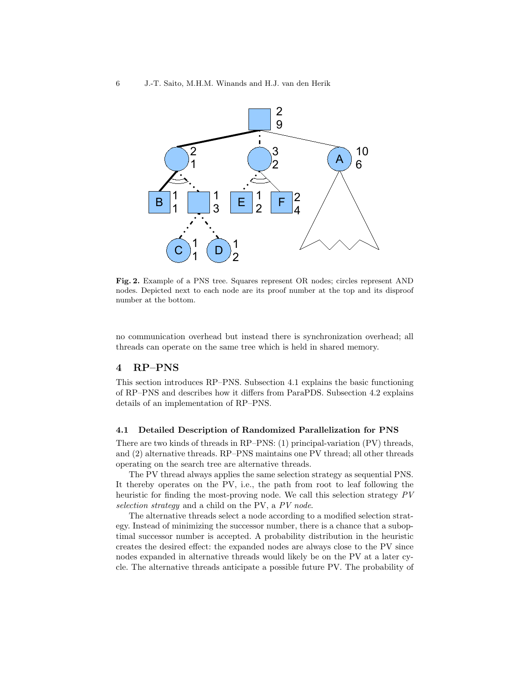

Fig. 2. Example of a PNS tree. Squares represent OR nodes; circles represent AND nodes. Depicted next to each node are its proof number at the top and its disproof number at the bottom.

no communication overhead but instead there is synchronization overhead; all threads can operate on the same tree which is held in shared memory.

## 4 RP–PNS

This section introduces RP–PNS. Subsection 4.1 explains the basic functioning of RP–PNS and describes how it differs from ParaPDS. Subsection 4.2 explains details of an implementation of RP–PNS.

#### 4.1 Detailed Description of Randomized Parallelization for PNS

There are two kinds of threads in RP–PNS: (1) principal-variation (PV) threads, and (2) alternative threads. RP–PNS maintains one PV thread; all other threads operating on the search tree are alternative threads.

The PV thread always applies the same selection strategy as sequential PNS. It thereby operates on the PV, i.e., the path from root to leaf following the heuristic for finding the most-proving node. We call this selection strategy PV selection strategy and a child on the PV, a PV node.

The alternative threads select a node according to a modified selection strategy. Instead of minimizing the successor number, there is a chance that a suboptimal successor number is accepted. A probability distribution in the heuristic creates the desired effect: the expanded nodes are always close to the PV since nodes expanded in alternative threads would likely be on the PV at a later cycle. The alternative threads anticipate a possible future PV. The probability of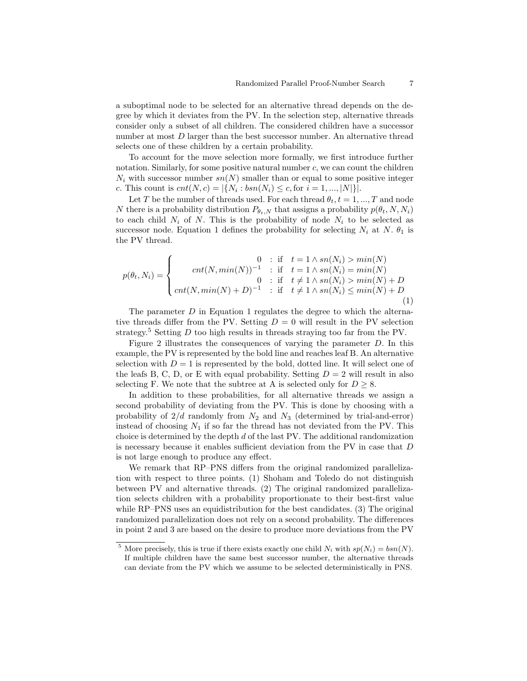a suboptimal node to be selected for an alternative thread depends on the degree by which it deviates from the PV. In the selection step, alternative threads consider only a subset of all children. The considered children have a successor number at most D larger than the best successor number. An alternative thread selects one of these children by a certain probability.

To account for the move selection more formally, we first introduce further notation. Similarly, for some positive natural number c, we can count the children  $N_i$  with successor number  $sn(N)$  smaller than or equal to some positive integer c. This count is  $cnt(N, c) = |\{N_i : bsn(N_i) \le c, \text{for } i = 1, ..., |N|\}|.$ 

Let T be the number of threads used. For each thread  $\theta_t$ ,  $t = 1, ..., T$  and node N there is a probability distribution  $P_{\theta_t,N}$  that assigns a probability  $p(\theta_t, N, N_i)$ to each child  $N_i$  of N. This is the probability of node  $N_i$  to be selected as successor node. Equation 1 defines the probability for selecting  $N_i$  at N.  $\theta_1$  is the PV thread.

$$
p(\theta_t, N_i) = \begin{cases} 0 & \text{if } t = 1 \land sn(N_i) > min(N) \\ \operatorname{cnt}(N, \min(N))^{-1} & \text{if } t = 1 \land sn(N_i) = min(N) \\ 0 & \text{if } t \neq 1 \land sn(N_i) > min(N) + D \\ \operatorname{cnt}(N, \min(N) + D)^{-1} & \text{if } t \neq 1 \land sn(N_i) \leq min(N) + D \end{cases}
$$
(1)

The parameter  $D$  in Equation 1 regulates the degree to which the alternative threads differ from the PV. Setting  $D = 0$  will result in the PV selection strategy.<sup>5</sup> Setting  $D$  too high results in threads straying too far from the PV.

Figure 2 illustrates the consequences of varying the parameter D. In this example, the PV is represented by the bold line and reaches leaf B. An alternative selection with  $D = 1$  is represented by the bold, dotted line. It will select one of the leafs B, C, D, or E with equal probability. Setting  $D = 2$  will result in also selecting F. We note that the subtree at A is selected only for  $D \geq 8$ .

In addition to these probabilities, for all alternative threads we assign a second probability of deviating from the PV. This is done by choosing with a probability of  $2/d$  randomly from  $N_2$  and  $N_3$  (determined by trial-and-error) instead of choosing  $N_1$  if so far the thread has not deviated from the PV. This choice is determined by the depth  $d$  of the last PV. The additional randomization is necessary because it enables sufficient deviation from the PV in case that D is not large enough to produce any effect.

We remark that RP–PNS differs from the original randomized parallelization with respect to three points. (1) Shoham and Toledo do not distinguish between PV and alternative threads. (2) The original randomized parallelization selects children with a probability proportionate to their best-first value while RP–PNS uses an equidistribution for the best candidates. (3) The original randomized parallelization does not rely on a second probability. The differences in point 2 and 3 are based on the desire to produce more deviations from the PV

<sup>&</sup>lt;sup>5</sup> More precisely, this is true if there exists exactly one child  $N_i$  with  $sp(N_i) = bsn(N)$ . If multiple children have the same best successor number, the alternative threads can deviate from the PV which we assume to be selected deterministically in PNS.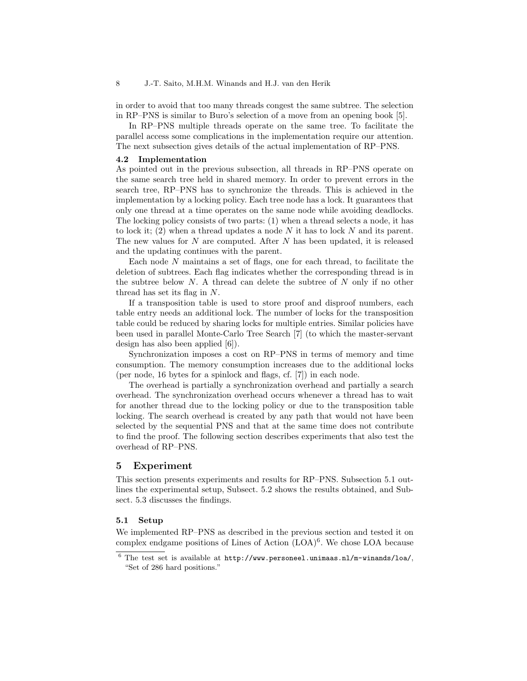in order to avoid that too many threads congest the same subtree. The selection in RP–PNS is similar to Buro's selection of a move from an opening book [5].

In RP–PNS multiple threads operate on the same tree. To facilitate the parallel access some complications in the implementation require our attention. The next subsection gives details of the actual implementation of RP–PNS.

#### 4.2 Implementation

As pointed out in the previous subsection, all threads in RP–PNS operate on the same search tree held in shared memory. In order to prevent errors in the search tree, RP–PNS has to synchronize the threads. This is achieved in the implementation by a locking policy. Each tree node has a lock. It guarantees that only one thread at a time operates on the same node while avoiding deadlocks. The locking policy consists of two parts: (1) when a thread selects a node, it has to lock it; (2) when a thread updates a node  $N$  it has to lock  $N$  and its parent. The new values for  $N$  are computed. After  $N$  has been updated, it is released and the updating continues with the parent.

Each node N maintains a set of flags, one for each thread, to facilitate the deletion of subtrees. Each flag indicates whether the corresponding thread is in the subtree below  $N$ . A thread can delete the subtree of  $N$  only if no other thread has set its flag in N.

If a transposition table is used to store proof and disproof numbers, each table entry needs an additional lock. The number of locks for the transposition table could be reduced by sharing locks for multiple entries. Similar policies have been used in parallel Monte-Carlo Tree Search [7] (to which the master-servant design has also been applied [6]).

Synchronization imposes a cost on RP–PNS in terms of memory and time consumption. The memory consumption increases due to the additional locks (per node, 16 bytes for a spinlock and flags, cf. [7]) in each node.

The overhead is partially a synchronization overhead and partially a search overhead. The synchronization overhead occurs whenever a thread has to wait for another thread due to the locking policy or due to the transposition table locking. The search overhead is created by any path that would not have been selected by the sequential PNS and that at the same time does not contribute to find the proof. The following section describes experiments that also test the overhead of RP–PNS.

## 5 Experiment

This section presents experiments and results for RP–PNS. Subsection 5.1 outlines the experimental setup, Subsect. 5.2 shows the results obtained, and Subsect. 5.3 discusses the findings.

#### 5.1 Setup

We implemented RP–PNS as described in the previous section and tested it on complex endgame positions of Lines of Action  $(LOA)^6$ . We chose LOA because

 $6$  The test set is available at http://www.personeel.unimaas.nl/m-winands/loa/, "Set of 286 hard positions."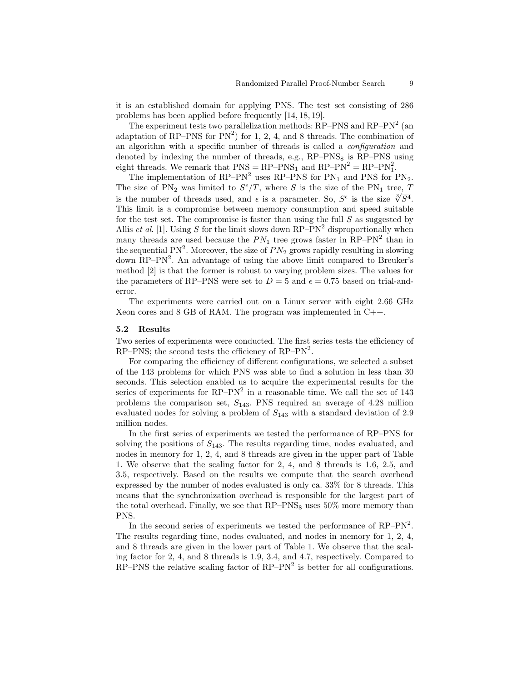it is an established domain for applying PNS. The test set consisting of 286 problems has been applied before frequently [14, 18, 19].

The experiment tests two parallelization methods:  $RP-PNS$  and  $RP-PN<sup>2</sup>$  (an adaptation of RP–PNS for  $PN^2$ ) for 1, 2, 4, and 8 threads. The combination of an algorithm with a specific number of threads is called a configuration and denoted by indexing the number of threads, e.g.,  $RP-PNS_8$  is  $RP-PNS$  using eight threads. We remark that  $PNS = RP-PNS_1$  and  $RP-PN^2 = RP-PN_1^2$ .

The implementation of  $RP-PN^2$  uses  $RP-PNS$  for  $PN_1$  and  $PNS$  for  $PN_2$ . The size of PN<sub>2</sub> was limited to  $S^{\epsilon}/T$ , where S is the size of the PN<sub>1</sub> tree, T The size of PN<sub>2</sub> was limited to  $S^2/I$ , where S is the size of the PN<sub>1</sub> tree,  $\frac{1}{\sqrt[3]{S^4}}$ .<br>is the number of threads used, and  $\epsilon$  is a parameter. So,  $S^{\epsilon}$  is the size  $\sqrt[3]{S^4}$ . This limit is a compromise between memory consumption and speed suitable for the test set. The compromise is faster than using the full  $S$  as suggested by Allis *et al.* [1]. Using S for the limit slows down  $RP-PN^2$  disproportionally when many threads are used because the  $PN_1$  tree grows faster in RP–PN<sup>2</sup> than in the sequential  $PN^2$ . Moreover, the size of  $PN_2$  grows rapidly resulting in slowing down RP–PN<sup>2</sup>. An advantage of using the above limit compared to Breuker's method [2] is that the former is robust to varying problem sizes. The values for the parameters of RP–PNS were set to  $D = 5$  and  $\epsilon = 0.75$  based on trial-anderror.

The experiments were carried out on a Linux server with eight 2.66 GHz Xeon cores and 8 GB of RAM. The program was implemented in C++.

#### 5.2 Results

Two series of experiments were conducted. The first series tests the efficiency of RP–PNS; the second tests the efficiency of  $RP-PN^2$ .

For comparing the efficiency of different configurations, we selected a subset of the 143 problems for which PNS was able to find a solution in less than 30 seconds. This selection enabled us to acquire the experimental results for the series of experiments for  $\text{RP-PN}^2$  in a reasonable time. We call the set of 143 problems the comparison set,  $S_{143}$ . PNS required an average of 4.28 million evaluated nodes for solving a problem of  $S_{143}$  with a standard deviation of 2.9 million nodes.

In the first series of experiments we tested the performance of RP–PNS for solving the positions of  $S_{143}$ . The results regarding time, nodes evaluated, and nodes in memory for 1, 2, 4, and 8 threads are given in the upper part of Table 1. We observe that the scaling factor for 2, 4, and 8 threads is 1.6, 2.5, and 3.5, respectively. Based on the results we compute that the search overhead expressed by the number of nodes evaluated is only ca. 33% for 8 threads. This means that the synchronization overhead is responsible for the largest part of the total overhead. Finally, we see that  $RP-PNS_8$  uses  $50\%$  more memory than PNS.

In the second series of experiments we tested the performance of  $RP-PN^2$ . The results regarding time, nodes evaluated, and nodes in memory for 1, 2, 4, and 8 threads are given in the lower part of Table 1. We observe that the scaling factor for 2, 4, and 8 threads is 1.9, 3.4, and 4.7, respectively. Compared to  $RP-PNS$  the relative scaling factor of  $RP-PN<sup>2</sup>$  is better for all configurations.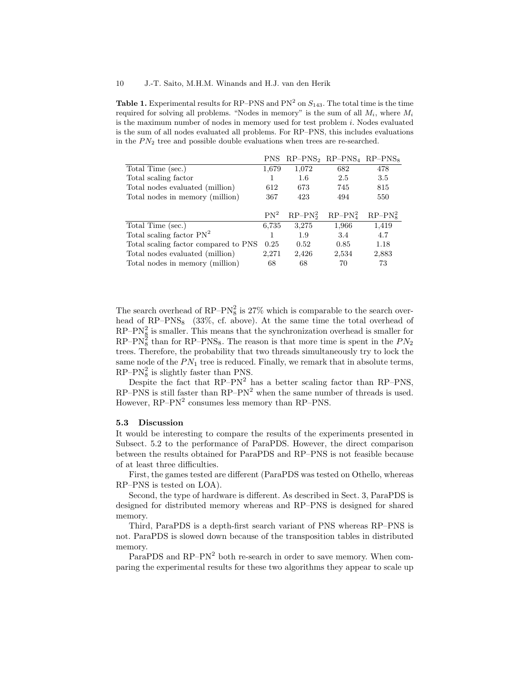**Table 1.** Experimental results for RP-PNS and  $PN<sup>2</sup>$  on  $S<sub>143</sub>$ . The total time is the time required for solving all problems. "Nodes in memory" is the sum of all  $M_i$ , where  $M_i$ is the maximum number of nodes in memory used for test problem i. Nodes evaluated is the sum of all nodes evaluated all problems. For RP–PNS, this includes evaluations in the  $PN<sub>2</sub>$  tree and possible double evaluations when trees are re-searched.

|                                      | <b>PNS</b> |           | $RP-PNS2$ $RP-PNS4$ $RP-PNS8$ |           |
|--------------------------------------|------------|-----------|-------------------------------|-----------|
| Total Time (sec.)                    | 1,679      | 1,072     | 682                           | 478       |
| Total scaling factor                 |            | 1.6       | 2.5                           | 3.5       |
| Total nodes evaluated (million)      | 612        | 673       | 745                           | 815       |
| Total nodes in memory (million)      | 367        | 423       | 494                           | 550       |
|                                      |            |           |                               |           |
|                                      | $PN^2$     | $RP-PN22$ | $RP-PN42$                     | $RP-PN82$ |
| Total Time (sec.)                    | 6,735      | 3,275     | 1,966                         | 1,419     |
| Total scaling factor $PN^2$          |            | 1.9       | 3.4                           | 4.7       |
| Total scaling factor compared to PNS | 0.25       | 0.52      | 0.85                          | 1.18      |
| Total nodes evaluated (million)      | 2,271      | 2,426     | 2,534                         | 2,883     |
| Total nodes in memory (million)      | 68         | 68        | 70                            | 73        |

The search overhead of RP–P $N_8^2$  is 27% which is comparable to the search overhead of  $RP-PNS_8$  (33%, cf. above). At the same time the total overhead of  $RP-PN<sub>8</sub><sup>2</sup>$  is smaller. This means that the synchronization overhead is smaller for RP–PN<sup>2</sup><sub>8</sub> than for RP–PNS<sub>8</sub>. The reason is that more time is spent in the  $PN_2$ trees. Therefore, the probability that two threads simultaneously try to lock the same node of the  $PN_1$  tree is reduced. Finally, we remark that in absolute terms,  $RP-PN<sub>8</sub><sup>2</sup>$  is slightly faster than PNS.

Despite the fact that  $RP-PN^2$  has a better scaling factor than  $RP-PNS$ ,  $RP-PNS$  is still faster than  $RP-PN^2$  when the same number of threads is used. However,  $RP-PN^2$  consumes less memory than  $RP-PNS$ .

#### 5.3 Discussion

It would be interesting to compare the results of the experiments presented in Subsect. 5.2 to the performance of ParaPDS. However, the direct comparison between the results obtained for ParaPDS and RP–PNS is not feasible because of at least three difficulties.

First, the games tested are different (ParaPDS was tested on Othello, whereas RP–PNS is tested on LOA).

Second, the type of hardware is different. As described in Sect. 3, ParaPDS is designed for distributed memory whereas and RP–PNS is designed for shared memory.

Third, ParaPDS is a depth-first search variant of PNS whereas RP–PNS is not. ParaPDS is slowed down because of the transposition tables in distributed memory.

ParaPDS and RP–PN<sup>2</sup> both re-search in order to save memory. When comparing the experimental results for these two algorithms they appear to scale up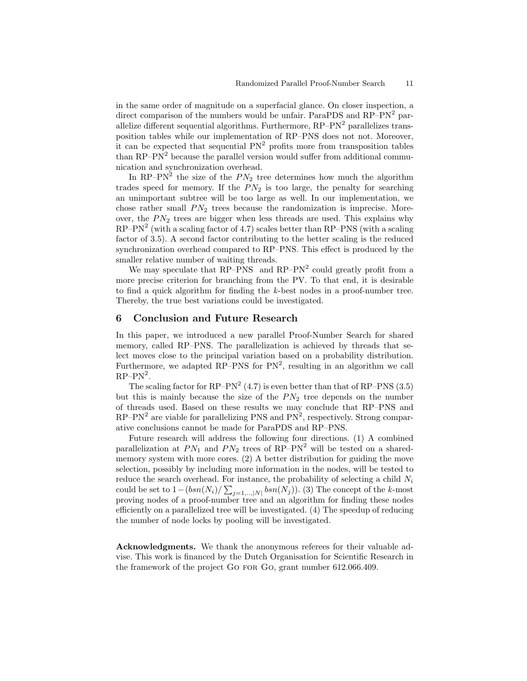in the same order of magnitude on a superfacial glance. On closer inspection, a direct comparison of the numbers would be unfair. ParaPDS and RP–PN<sup>2</sup> parallelize different sequential algorithms. Furthermore,  $RP-PN^2$  parallelizes transposition tables while our implementation of RP–PNS does not not. Moreover, it can be expected that sequential  $PN<sup>2</sup>$  profits more from transposition tables than  $\text{RP}-\text{PN}^2$  because the parallel version would suffer from additional communication and synchronization overhead.

In RP–PN<sup>2</sup> the size of the  $PN_2$  tree determines how much the algorithm trades speed for memory. If the  $PN<sub>2</sub>$  is too large, the penalty for searching an unimportant subtree will be too large as well. In our implementation, we chose rather small  $PN_2$  trees because the randomization is imprecise. Moreover, the  $PN<sub>2</sub>$  trees are bigger when less threads are used. This explains why  $RP-PN<sup>2</sup>$  (with a scaling factor of 4.7) scales better than  $RP-PNS$  (with a scaling factor of 3.5). A second factor contributing to the better scaling is the reduced synchronization overhead compared to RP–PNS. This effect is produced by the smaller relative number of waiting threads.

We may speculate that  $RP-PNS$  and  $RP-PN<sup>2</sup>$  could greatly profit from a more precise criterion for branching from the PV. To that end, it is desirable to find a quick algorithm for finding the k-best nodes in a proof-number tree. Thereby, the true best variations could be investigated.

# 6 Conclusion and Future Research

In this paper, we introduced a new parallel Proof-Number Search for shared memory, called RP–PNS. The parallelization is achieved by threads that select moves close to the principal variation based on a probability distribution. Furthermore, we adapted RP–PNS for  $PN^2$ , resulting in an algorithm we call  $RP-PN^2$ .

The scaling factor for  $\text{RP-PN}^2$  (4.7) is even better than that of  $\text{RP-PNS}$  (3.5) but this is mainly because the size of the  $PN<sub>2</sub>$  tree depends on the number of threads used. Based on these results we may conclude that RP–PNS and  $RP-PN<sup>2</sup>$  are viable for parallelizing PNS and  $PN<sup>2</sup>$ , respectively. Strong comparative conclusions cannot be made for ParaPDS and RP–PNS.

Future research will address the following four directions. (1) A combined parallelization at  $PN_1$  and  $PN_2$  trees of RP–PN<sup>2</sup> will be tested on a sharedmemory system with more cores. (2) A better distribution for guiding the move selection, possibly by including more information in the nodes, will be tested to reduce the search overhead. For instance, the probability of selecting a child  $N_i$ could be set to  $1 - (bsn(N_i)/\sum_{j=1,\dots,N} bsn(N_j))$ . (3) The concept of the k-most proving nodes of a proof-number tree and an algorithm for finding these nodes efficiently on a parallelized tree will be investigated. (4) The speedup of reducing the number of node locks by pooling will be investigated.

Acknowledgments. We thank the anonymous referees for their valuable advise. This work is financed by the Dutch Organisation for Scientific Research in the framework of the project Go for Go, grant number 612.066.409.